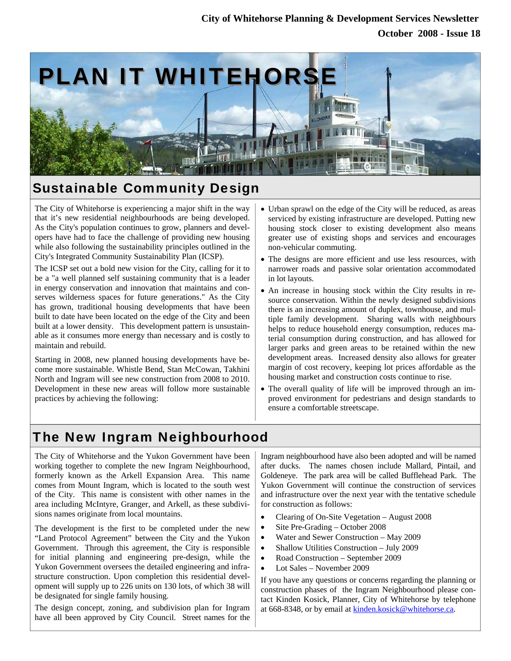## **October 2008 - Issue 18 City of Whitehorse Planning & Development Services Newsletter**



## Sustainable Community Design

The City of Whitehorse is experiencing a major shift in the way that it's new residential neighbourhoods are being developed. As the City's population continues to grow, planners and developers have had to face the challenge of providing new housing while also following the sustainability principles outlined in the City's Integrated Community Sustainability Plan (ICSP).

The ICSP set out a bold new vision for the City, calling for it to be a "a well planned self sustaining community that is a leader in energy conservation and innovation that maintains and conserves wilderness spaces for future generations." As the City has grown, traditional housing developments that have been built to date have been located on the edge of the City and been built at a lower density. This development pattern is unsustainable as it consumes more energy than necessary and is costly to maintain and rebuild.

Starting in 2008, new planned housing developments have become more sustainable. Whistle Bend, Stan McCowan, Takhini North and Ingram will see new construction from 2008 to 2010. Development in these new areas will follow more sustainable practices by achieving the following:

- Urban sprawl on the edge of the City will be reduced, as areas serviced by existing infrastructure are developed. Putting new housing stock closer to existing development also means greater use of existing shops and services and encourages non-vehicular commuting.
- The designs are more efficient and use less resources, with narrower roads and passive solar orientation accommodated in lot layouts.
- An increase in housing stock within the City results in resource conservation. Within the newly designed subdivisions there is an increasing amount of duplex, townhouse, and multiple family development. Sharing walls with neighbours helps to reduce household energy consumption, reduces material consumption during construction, and has allowed for larger parks and green areas to be retained within the new development areas. Increased density also allows for greater margin of cost recovery, keeping lot prices affordable as the housing market and construction costs continue to rise.
- The overall quality of life will be improved through an improved environment for pedestrians and design standards to ensure a comfortable streetscape.

# The New Ingram Neighbourhood

The City of Whitehorse and the Yukon Government have been working together to complete the new Ingram Neighbourhood, formerly known as the Arkell Expansion Area. This name comes from Mount Ingram, which is located to the south west of the City. This name is consistent with other names in the area including McIntyre, Granger, and Arkell, as these subdivisions names originate from local mountains.

The development is the first to be completed under the new "Land Protocol Agreement" between the City and the Yukon Government. Through this agreement, the City is responsible for initial planning and engineering pre-design, while the Yukon Government oversees the detailed engineering and infrastructure construction. Upon completion this residential development will supply up to 226 units on 130 lots, of which 38 will be designated for single family housing.

The design concept, zoning, and subdivision plan for Ingram have all been approved by City Council. Street names for the Ingram neighbourhood have also been adopted and will be named after ducks. The names chosen include Mallard, Pintail, and Goldeneye. The park area will be called Bufflehead Park. The Yukon Government will continue the construction of services and infrastructure over the next year with the tentative schedule for construction as follows:

- Clearing of On-Site Vegetation August 2008
- Site Pre-Grading October 2008
- Water and Sewer Construction May 2009
- Shallow Utilities Construction July 2009
- Road Construction September 2009
- Lot Sales November 2009

If you have any questions or concerns regarding the planning or construction phases of the Ingram Neighbourhood please contact Kinden Kosick, Planner, City of Whitehorse by telephone at 668-8348, or by email at kinden.kosick@whitehorse.ca.